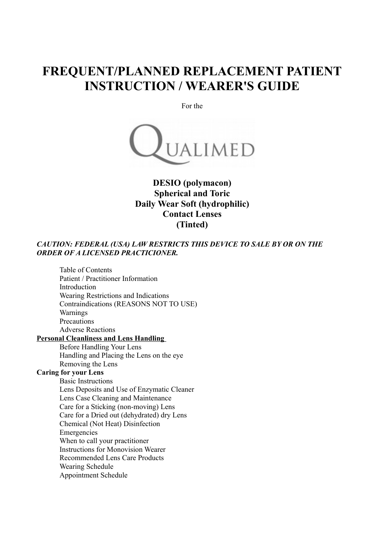# **FREQUENT/PLANNED REPLACEMENT PATIENT INSTRUCTION / WEARER'S GUIDE**

For the



# **DESIO (polymacon) Spherical and Toric Daily Wear Soft (hydrophilic) Contact Lenses (Tinted)**

## *CAUTION: FEDERAL (USA) LAW RESTRICTS THIS DEVICE TO SALE BY OR ON THE ORDER OF A LICENSED PRACTICIONER.*

Table of Contents Patient / Practitioner Information Introduction Wearing Restrictions and Indications Contraindications (REASONS NOT TO USE) Warnings **Precautions** Adverse Reactions **Personal Cleanliness and Lens Handling**  Before Handling Your Lens Handling and Placing the Lens on the eye Removing the Lens **Caring for your Lens** Basic Instructions Lens Deposits and Use of Enzymatic Cleaner Lens Case Cleaning and Maintenance Care for a Sticking (non-moving) Lens Care for a Dried out (dehydrated) dry Lens Chemical (Not Heat) Disinfection Emergencies When to call your practitioner Instructions for Monovision Wearer Recommended Lens Care Products

> Wearing Schedule Appointment Schedule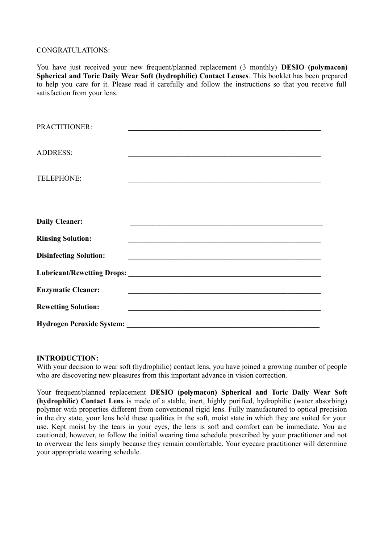#### CONGRATULATIONS:

You have just received your new frequent/planned replacement (3 monthly) **DESIO (polymacon) Spherical and Toric Daily Wear Soft (hydrophilic) Contact Lenses**. This booklet has been prepared to help you care for it. Please read it carefully and follow the instructions so that you receive full satisfaction from your lens.

| PRACTITIONER:                 |                                                                                           |
|-------------------------------|-------------------------------------------------------------------------------------------|
|                               |                                                                                           |
| <b>ADDRESS:</b>               |                                                                                           |
|                               |                                                                                           |
| TELEPHONE:                    | <u> 1990 - Johann Barbara, martxa alemaniar a</u>                                         |
|                               |                                                                                           |
|                               |                                                                                           |
|                               |                                                                                           |
| <b>Daily Cleaner:</b>         |                                                                                           |
| <b>Rinsing Solution:</b>      | the control of the control of the control of the control of the control of the control of |
|                               |                                                                                           |
| <b>Disinfecting Solution:</b> |                                                                                           |
|                               |                                                                                           |
|                               |                                                                                           |
| <b>Enzymatic Cleaner:</b>     |                                                                                           |
| <b>Rewetting Solution:</b>    |                                                                                           |
|                               |                                                                                           |

#### **INTRODUCTION:**

With your decision to wear soft (hydrophilic) contact lens, you have joined a growing number of people who are discovering new pleasures from this important advance in vision correction.

Your frequent/planned replacement **DESIO (polymacon) Spherical and Toric Daily Wear Soft (hydrophilic) Contact Lens** is made of a stable, inert, highly purified, hydrophilic (water absorbing) polymer with properties different from conventional rigid lens. Fully manufactured to optical precision in the dry state, your lens hold these qualities in the soft, moist state in which they are suited for your use. Kept moist by the tears in your eyes, the lens is soft and comfort can be immediate. You are cautioned, however, to follow the initial wearing time schedule prescribed by your practitioner and not to overwear the lens simply because they remain comfortable. Your eyecare practitioner will determine your appropriate wearing schedule.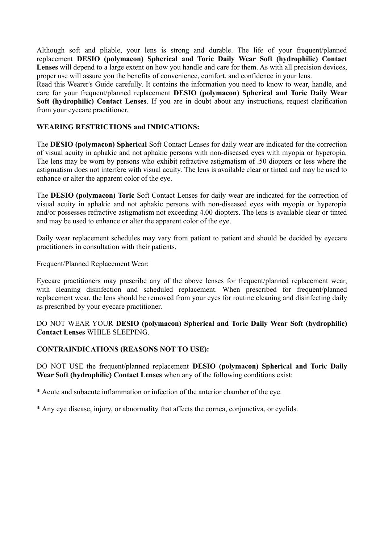Although soft and pliable, your lens is strong and durable. The life of your frequent/planned replacement **DESIO (polymacon) Spherical and Toric Daily Wear Soft (hydrophilic) Contact** Lenses will depend to a large extent on how you handle and care for them. As with all precision devices, proper use will assure you the benefits of convenience, comfort, and confidence in your lens.

Read this Wearer's Guide carefully. It contains the information you need to know to wear, handle, and care for your frequent/planned replacement **DESIO (polymacon) Spherical and Toric Daily Wear Soft (hydrophilic) Contact Lenses**. If you are in doubt about any instructions, request clarification from your eyecare practitioner.

#### **WEARING RESTRICTIONS and INDICATIONS:**

The **DESIO (polymacon) Spherical** Soft Contact Lenses for daily wear are indicated for the correction of visual acuity in aphakic and not aphakic persons with non-diseased eyes with myopia or hyperopia. The lens may be worn by persons who exhibit refractive astigmatism of .50 diopters or less where the astigmatism does not interfere with visual acuity. The lens is available clear or tinted and may be used to enhance or alter the apparent color of the eye.

The **DESIO (polymacon) Toric** Soft Contact Lenses for daily wear are indicated for the correction of visual acuity in aphakic and not aphakic persons with non-diseased eyes with myopia or hyperopia and/or possesses refractive astigmatism not exceeding 4.00 diopters. The lens is available clear or tinted and may be used to enhance or alter the apparent color of the eye.

Daily wear replacement schedules may vary from patient to patient and should be decided by eyecare practitioners in consultation with their patients.

Frequent/Planned Replacement Wear:

Eyecare practitioners may prescribe any of the above lenses for frequent/planned replacement wear, with cleaning disinfection and scheduled replacement. When prescribed for frequent/planned replacement wear, the lens should be removed from your eyes for routine cleaning and disinfecting daily as prescribed by your eyecare practitioner.

DO NOT WEAR YOUR **DESIO (polymacon) Spherical and Toric Daily Wear Soft (hydrophilic) Contact Lenses** WHILE SLEEPING.

#### **CONTRAINDICATIONS (REASONS NOT TO USE):**

DO NOT USE the frequent/planned replacement **DESIO (polymacon) Spherical and Toric Daily Wear Soft (hydrophilic) Contact Lenses** when any of the following conditions exist:

\* Acute and subacute inflammation or infection of the anterior chamber of the eye.

\* Any eye disease, injury, or abnormality that affects the cornea, conjunctiva, or eyelids.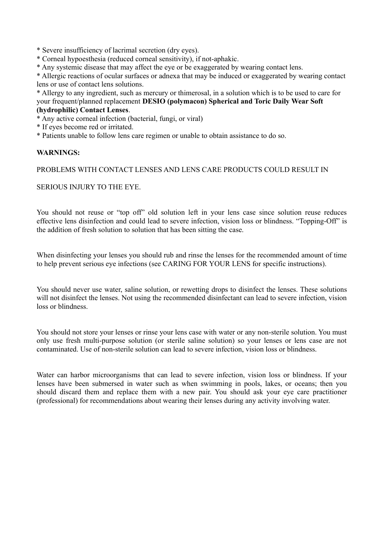\* Severe insufficiency of lacrimal secretion (dry eyes).

\* Corneal hypoesthesia (reduced corneal sensitivity), if not-aphakic.

\* Any systemic disease that may affect the eye or be exaggerated by wearing contact lens.

\* Allergic reactions of ocular surfaces or adnexa that may be induced or exaggerated by wearing contact lens or use of contact lens solutions.

\* Allergy to any ingredient, such as mercury or thimerosal, in a solution which is to be used to care for your frequent/planned replacement **DESIO (polymacon) Spherical and Toric Daily Wear Soft (hydrophilic) Contact Lenses**.

\* Any active corneal infection (bacterial, fungi, or viral)

\* If eyes become red or irritated.

\* Patients unable to follow lens care regimen or unable to obtain assistance to do so.

### **WARNINGS:**

#### PROBLEMS WITH CONTACT LENSES AND LENS CARE PRODUCTS COULD RESULT IN

#### SERIOUS INJURY TO THE EYE.

You should not reuse or "top off" old solution left in your lens case since solution reuse reduces effective lens disinfection and could lead to severe infection, vision loss or blindness. "Topping-Off" is the addition of fresh solution to solution that has been sitting the case.

When disinfecting your lenses you should rub and rinse the lenses for the recommended amount of time to help prevent serious eye infections (see CARING FOR YOUR LENS for specific instructions).

You should never use water, saline solution, or rewetting drops to disinfect the lenses. These solutions will not disinfect the lenses. Not using the recommended disinfectant can lead to severe infection, vision loss or blindness.

You should not store your lenses or rinse your lens case with water or any non-sterile solution. You must only use fresh multi-purpose solution (or sterile saline solution) so your lenses or lens case are not contaminated. Use of non-sterile solution can lead to severe infection, vision loss or blindness.

Water can harbor microorganisms that can lead to severe infection, vision loss or blindness. If your lenses have been submersed in water such as when swimming in pools, lakes, or oceans; then you should discard them and replace them with a new pair. You should ask your eye care practitioner (professional) for recommendations about wearing their lenses during any activity involving water.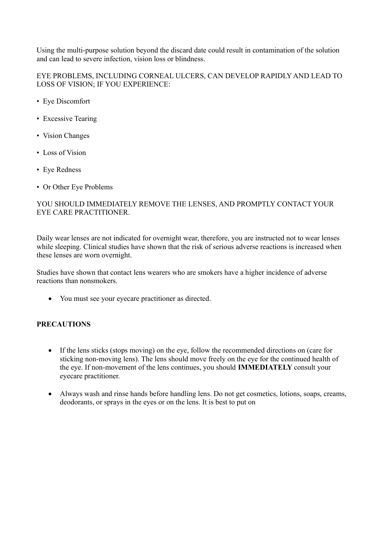Using the multi-purpose solution beyond the discard date could result in contamination of the solution and can lead to severe infection, vision loss or blindness.

EYE PROBLEMS, INCLUDING CORNEAL ULCERS, CAN DEVELOP RAPIDLY AND LEAD TO LOSS OF VISION; IF YOU EXPERIENCE:

- Eye Discomfort
- Excessive Tearing
- Vision Changes
- Loss of Vision
- Eye Redness
- Or Other Eye Problems

# YOU SHOULD IMMEDIATELY REMOVE THE LENSES, AND PROMPTLY CONTACT YOUR EYE CARE PRACTITIONER.

Daily wear lenses are not indicated for overnight wear, therefore, you are instructed not to wear lenses while sleeping. Clinical studies have shown that the risk of serious adverse reactions is increased when these lenses are worn overnight.

Studies have shown that contact lens wearers who are smokers have a higher incidence of adverse reactions than nonsmokers.

You must see your eyecare practitioner as directed.

### **PRECAUTIONS**

- If the lens sticks (stops moving) on the eye, follow the recommended directions on (care for sticking non-moving lens). The lens should move freely on the eye for the continued health of the eye. If non-movement of the lens continues, you should **IMMEDIATELY** consult your eyecare practitioner.
- Always wash and rinse hands before handling lens. Do not get cosmetics, lotions, soaps, creams, deodorants, or sprays in the eyes or on the lens. It is best to put on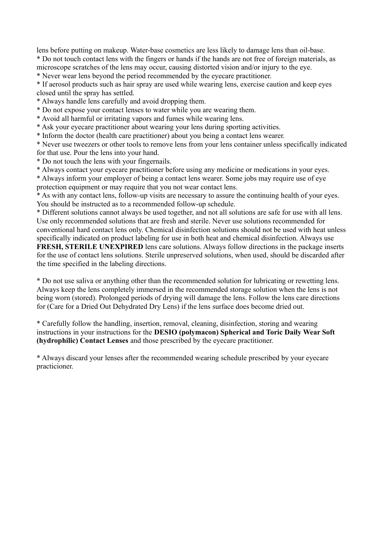lens before putting on makeup. Water-base cosmetics are less likely to damage lens than oil-base. \* Do not touch contact lens with the fingers or hands if the hands are not free of foreign materials, as

microscope scratches of the lens may occur, causing distorted vision and/or injury to the eye.

\* Never wear lens beyond the period recommended by the eyecare practitioner.

\* If aerosol products such as hair spray are used while wearing lens, exercise caution and keep eyes closed until the spray has settled.

\* Always handle lens carefully and avoid dropping them.

\* Do not expose your contact lenses to water while you are wearing them.

\* Avoid all harmful or irritating vapors and fumes while wearing lens.

\* Ask your eyecare practitioner about wearing your lens during sporting activities.

\* Inform the doctor (health care practitioner) about you being a contact lens wearer.

\* Never use tweezers or other tools to remove lens from your lens container unless specifically indicated for that use. Pour the lens into your hand.

\* Do not touch the lens with your fingernails.

\* Always contact your eyecare practitioner before using any medicine or medications in your eyes.

\* Always inform your employer of being a contact lens wearer. Some jobs may require use of eye protection equipment or may require that you not wear contact lens.

\* As with any contact lens, follow-up visits are necessary to assure the continuing health of your eyes. You should be instructed as to a recommended follow-up schedule.

\* Different solutions cannot always be used together, and not all solutions are safe for use with all lens. Use only recommended solutions that are fresh and sterile. Never use solutions recommended for conventional hard contact lens only. Chemical disinfection solutions should not be used with heat unless specifically indicated on product labeling for use in both heat and chemical disinfection. Always use

**FRESH, STERILE UNEXPIRED** lens care solutions. Always follow directions in the package inserts for the use of contact lens solutions. Sterile unpreserved solutions, when used, should be discarded after the time specified in the labeling directions.

\* Do not use saliva or anything other than the recommended solution for lubricating or rewetting lens. Always keep the lens completely immersed in the recommended storage solution when the lens is not being worn (stored). Prolonged periods of drying will damage the lens. Follow the lens care directions for (Care for a Dried Out Dehydrated Dry Lens) if the lens surface does become dried out.

\* Carefully follow the handling, insertion, removal, cleaning, disinfection, storing and wearing instructions in your instructions for the **DESIO (polymacon) Spherical and Toric Daily Wear Soft (hydrophilic) Contact Lenses** and those prescribed by the eyecare practitioner.

\* Always discard your lenses after the recommended wearing schedule prescribed by your eyecare practicioner.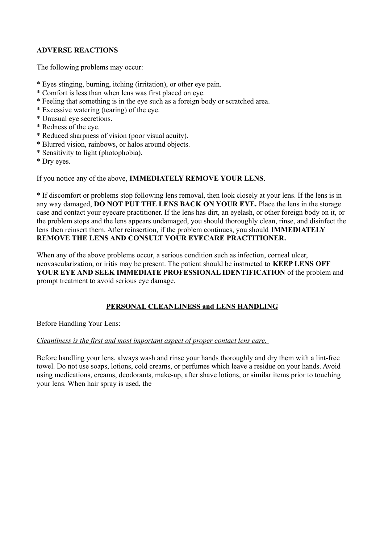# **ADVERSE REACTIONS**

The following problems may occur:

- \* Eyes stinging, burning, itching (irritation), or other eye pain.
- \* Comfort is less than when lens was first placed on eye.
- \* Feeling that something is in the eye such as a foreign body or scratched area.
- \* Excessive watering (tearing) of the eye.
- \* Unusual eye secretions.
- \* Redness of the eye.
- \* Reduced sharpness of vision (poor visual acuity).
- \* Blurred vision, rainbows, or halos around objects.
- \* Sensitivity to light (photophobia).
- \* Dry eyes.

If you notice any of the above, **IMMEDIATELY REMOVE YOUR LENS**.

\* If discomfort or problems stop following lens removal, then look closely at your lens. If the lens is in any way damaged, **DO NOT PUT THE LENS BACK ON YOUR EYE.** Place the lens in the storage case and contact your eyecare practitioner. If the lens has dirt, an eyelash, or other foreign body on it, or the problem stops and the lens appears undamaged, you should thoroughly clean, rinse, and disinfect the lens then reinsert them. After reinsertion, if the problem continues, you should **IMMEDIATELY REMOVE THE LENS AND CONSULT YOUR EYECARE PRACTITIONER.** 

When any of the above problems occur, a serious condition such as infection, corneal ulcer, neovascularization, or iritis may be present. The patient should be instructed to **KEEP LENS OFF YOUR EYE AND SEEK IMMEDIATE PROFESSIONAL IDENTIFICATION** of the problem and prompt treatment to avoid serious eye damage.

# **PERSONAL CLEANLINESS and LENS HANDLING**

Before Handling Your Lens:

#### *Cleanliness is the first and most important aspect of proper contact lens care.*

Before handling your lens, always wash and rinse your hands thoroughly and dry them with a lint-free towel. Do not use soaps, lotions, cold creams, or perfumes which leave a residue on your hands. Avoid using medications, creams, deodorants, make-up, after shave lotions, or similar items prior to touching your lens. When hair spray is used, the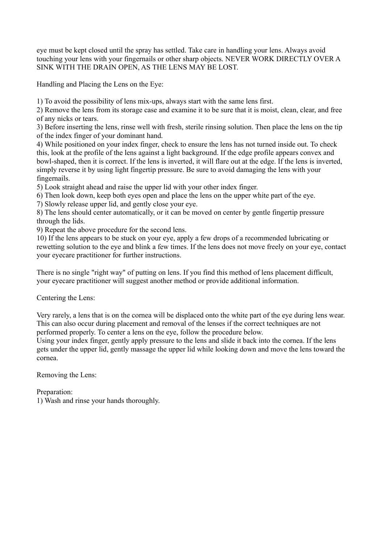eye must be kept closed until the spray has settled. Take care in handling your lens. Always avoid touching your lens with your fingernails or other sharp objects. NEVER WORK DIRECTLY OVER A SINK WITH THE DRAIN OPEN, AS THE LENS MAY BE LOST.

Handling and Placing the Lens on the Eye:

1) To avoid the possibility of lens mix-ups, always start with the same lens first.

2) Remove the lens from its storage case and examine it to be sure that it is moist, clean, clear, and free of any nicks or tears.

3) Before inserting the lens, rinse well with fresh, sterile rinsing solution. Then place the lens on the tip of the index finger of your dominant hand.

4) While positioned on your index finger, check to ensure the lens has not turned inside out. To check this, look at the profile of the lens against a light background. If the edge profile appears convex and bowl-shaped, then it is correct. If the lens is inverted, it will flare out at the edge. If the lens is inverted, simply reverse it by using light fingertip pressure. Be sure to avoid damaging the lens with your fingernails.

5) Look straight ahead and raise the upper lid with your other index finger.

6) Then look down, keep both eyes open and place the lens on the upper white part of the eye.

7) Slowly release upper lid, and gently close your eye.

8) The lens should center automatically, or it can be moved on center by gentle fingertip pressure through the lids.

9) Repeat the above procedure for the second lens.

10) If the lens appears to be stuck on your eye, apply a few drops of a recommended lubricating or rewetting solution to the eye and blink a few times. If the lens does not move freely on your eye, contact your eyecare practitioner for further instructions.

There is no single "right way" of putting on lens. If you find this method of lens placement difficult, your eyecare practitioner will suggest another method or provide additional information.

Centering the Lens:

Very rarely, a lens that is on the cornea will be displaced onto the white part of the eye during lens wear. This can also occur during placement and removal of the lenses if the correct techniques are not performed properly. To center a lens on the eye, follow the procedure below.

Using your index finger, gently apply pressure to the lens and slide it back into the cornea. If the lens gets under the upper lid, gently massage the upper lid while looking down and move the lens toward the cornea.

Removing the Lens:

Preparation:

1) Wash and rinse your hands thoroughly.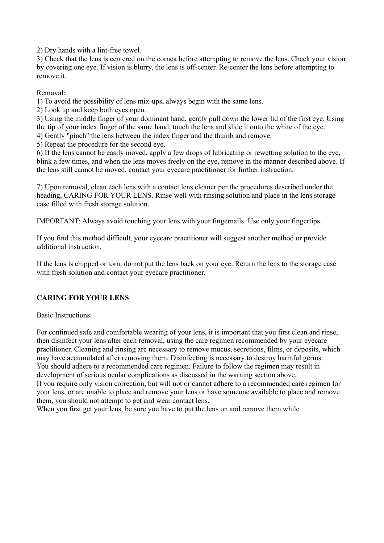2) Dry hands with a lint-free towel.

3) Check that the lens is centered on the cornea before attempting to remove the lens. Check your vision by covering one eye. If vision is blurry, the lens is off-center. Re-center the lens before attempting to remove it.

Removal:

1) To avoid the possibility of lens mix-ups, always begin with the same lens.

2) Look up and keep both eyes open.

3) Using the middle finger of your dominant hand, gently pull down the lower lid of the first eye. Using the tip of your index finger of the same hand, touch the lens and slide it onto the white of the eye.

4) Gently "pinch" the lens between the index finger and the thumb and remove.

5) Repeat the procedure for the second eye.

6) If the lens cannot be easily moved, apply a few drops of lubricating or rewetting solution to the eye, blink a few times, and when the lens moves freely on the eye, remove in the manner described above. If the lens still cannot be moved, contact your eyecare practitioner for further instruction.

7) Upon removal, clean each lens with a contact lens cleaner per the procedures described under the heading, CARING FOR YOUR LENS. Rinse well with rinsing solution and place in the lens storage case filled with fresh storage solution.

IMPORTANT: Always avoid touching your lens with your fingernails. Use only your fingertips.

If you find this method difficult, your eyecare practitioner will suggest another method or provide additional instruction.

If the lens is chipped or torn, do not put the lens back on your eye. Return the lens to the storage case with fresh solution and contact your eyecare practitioner.

# **CARING FOR YOUR LENS**

Basic Instructions:

For continued safe and comfortable wearing of your lens, it is important that you first clean and rinse, then disinfect your lens after each removal, using the care regimen recommended by your eyecare practitioner. Cleaning and rinsing are necessary to remove mucus, secretions, films, or deposits, which may have accumulated after removing them. Disinfecting is necessary to destroy harmful germs. You should adhere to a recommended care regimen. Failure to follow the regimen may result in development of serious ocular complications as discussed in the warning section above. If you require only vision correction, but will not or cannot adhere to a recommended care regimen for your lens, or are unable to place and remove your lens or have someone available to place and remove them, you should not attempt to get and wear contact lens.

When you first get your lens, be sure you have to put the lens on and remove them while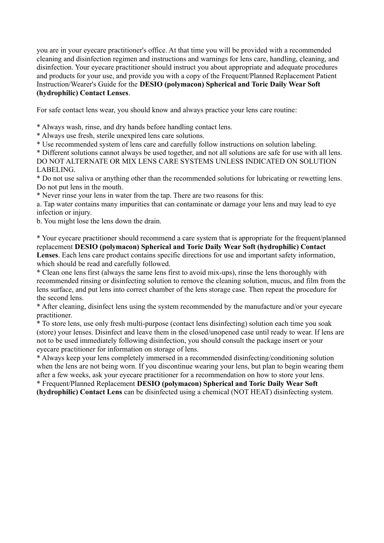you are in your eyecare practitioner's office. At that time you will be provided with a recommended cleaning and disinfection regimen and instructions and warnings for lens care, handling, cleaning, and disinfection. Your eyecare practitioner should instruct you about appropriate and adequate procedures and products for your use, and provide you with a copy of the Frequent/Planned Replacement Patient Instruction/Wearer's Guide for the **DESIO (polymacon) Spherical and Toric Daily Wear Soft (hydrophilic) Contact Lenses**.

For safe contact lens wear, you should know and always practice your lens care routine:

\* Always wash, rinse, and dry hands before handling contact lens.

\* Always use fresh, sterile unexpired lens care solutions.

\* Use recommended system of lens care and carefully follow instructions on solution labeling.

\* Different solutions cannot always be used together, and not all solutions are safe for use with all lens. DO NOT ALTERNATE OR MIX LENS CARE SYSTEMS UNLESS INDICATED ON SOLUTION LABELING.

\* Do not use saliva or anything other than the recommended solutions for lubricating or rewetting lens. Do not put lens in the mouth.

\* Never rinse your lens in water from the tap. There are two reasons for this:

a. Tap water contains many impurities that can contaminate or damage your lens and may lead to eye infection or injury.

b. You might lose the lens down the drain.

\* Your eyecare practitioner should recommend a care system that is appropriate for the frequent/planned replacement **DESIO (polymacon) Spherical and Toric Daily Wear Soft (hydrophilic) Contact Lenses**. Each lens care product contains specific directions for use and important safety information, which should be read and carefully followed.

\* Clean one lens first (always the same lens first to avoid mix-ups), rinse the lens thoroughly with recommended rinsing or disinfecting solution to remove the cleaning solution, mucus, and film from the lens surface, and put lens into correct chamber of the lens storage case. Then repeat the procedure for the second lens.

\* After cleaning, disinfect lens using the system recommended by the manufacture and/or your eyecare practitioner.

\* To store lens, use only fresh multi-purpose (contact lens disinfecting) solution each time you soak (store) your lenses. Disinfect and leave them in the closed/unopened case until ready to wear. If lens are not to be used immediately following disinfection, you should consult the package insert or your eyecare practitioner for information on storage of lens.

\* Always keep your lens completely immersed in a recommended disinfecting/conditioning solution when the lens are not being worn. If you discontinue wearing your lens, but plan to begin wearing them after a few weeks, ask your eyecare practitioner for a recommendation on how to store your lens.

\* Frequent/Planned Replacement **DESIO (polymacon) Spherical and Toric Daily Wear Soft (hydrophilic) Contact Lens** can be disinfected using a chemical (NOT HEAT) disinfecting system.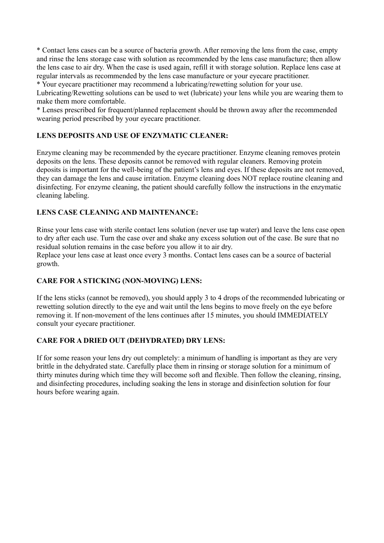\* Contact lens cases can be a source of bacteria growth. After removing the lens from the case, empty and rinse the lens storage case with solution as recommended by the lens case manufacture; then allow the lens case to air dry. When the case is used again, refill it with storage solution. Replace lens case at regular intervals as recommended by the lens case manufacture or your eyecare practitioner.

\* Your eyecare practitioner may recommend a lubricating/rewetting solution for your use. Lubricating/Rewetting solutions can be used to wet (lubricate) your lens while you are wearing them to make them more comfortable.

\* Lenses prescribed for frequent/planned replacement should be thrown away after the recommended wearing period prescribed by your eyecare practitioner.

# **LENS DEPOSITS AND USE OF ENZYMATIC CLEANER:**

Enzyme cleaning may be recommended by the eyecare practitioner. Enzyme cleaning removes protein deposits on the lens. These deposits cannot be removed with regular cleaners. Removing protein deposits is important for the well-being of the patient's lens and eyes. If these deposits are not removed, they can damage the lens and cause irritation. Enzyme cleaning does NOT replace routine cleaning and disinfecting. For enzyme cleaning, the patient should carefully follow the instructions in the enzymatic cleaning labeling.

# **LENS CASE CLEANING AND MAINTENANCE:**

Rinse your lens case with sterile contact lens solution (never use tap water) and leave the lens case open to dry after each use. Turn the case over and shake any excess solution out of the case. Be sure that no residual solution remains in the case before you allow it to air dry.

Replace your lens case at least once every 3 months. Contact lens cases can be a source of bacterial growth.

# **CARE FOR A STICKING (NON-MOVING) LENS:**

If the lens sticks (cannot be removed), you should apply 3 to 4 drops of the recommended lubricating or rewetting solution directly to the eye and wait until the lens begins to move freely on the eye before removing it. If non-movement of the lens continues after 15 minutes, you should IMMEDIATELY consult your eyecare practitioner.

# **CARE FOR A DRIED OUT (DEHYDRATED) DRY LENS:**

If for some reason your lens dry out completely: a minimum of handling is important as they are very brittle in the dehydrated state. Carefully place them in rinsing or storage solution for a minimum of thirty minutes during which time they will become soft and flexible. Then follow the cleaning, rinsing, and disinfecting procedures, including soaking the lens in storage and disinfection solution for four hours before wearing again.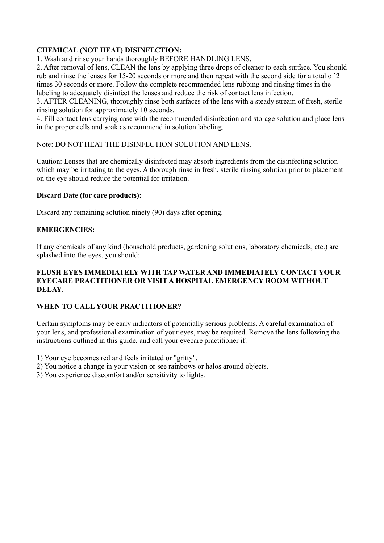# **CHEMICAL (NOT HEAT) DISINFECTION:**

1. Wash and rinse your hands thoroughly BEFORE HANDLING LENS.

2. After removal of lens, CLEAN the lens by applying three drops of cleaner to each surface. You should rub and rinse the lenses for 15-20 seconds or more and then repeat with the second side for a total of 2 times 30 seconds or more. Follow the complete recommended lens rubbing and rinsing times in the labeling to adequately disinfect the lenses and reduce the risk of contact lens infection.

3. AFTER CLEANING, thoroughly rinse both surfaces of the lens with a steady stream of fresh, sterile rinsing solution for approximately 10 seconds.

4. Fill contact lens carrying case with the recommended disinfection and storage solution and place lens in the proper cells and soak as recommend in solution labeling.

Note: DO NOT HEAT THE DISINFECTION SOLUTION AND LENS.

Caution: Lenses that are chemically disinfected may absorb ingredients from the disinfecting solution which may be irritating to the eyes. A thorough rinse in fresh, sterile rinsing solution prior to placement on the eye should reduce the potential for irritation.

# **Discard Date (for care products):**

Discard any remaining solution ninety (90) days after opening.

# **EMERGENCIES:**

If any chemicals of any kind (household products, gardening solutions, laboratory chemicals, etc.) are splashed into the eyes, you should:

# **FLUSH EYES IMMEDIATELY WITH TAP WATER AND IMMEDIATELY CONTACT YOUR EYECARE PRACTITIONER OR VISIT A HOSPITAL EMERGENCY ROOM WITHOUT DELAY.**

# **WHEN TO CALL YOUR PRACTITIONER?**

Certain symptoms may be early indicators of potentially serious problems. A careful examination of your lens, and professional examination of your eyes, may be required. Remove the lens following the instructions outlined in this guide, and call your eyecare practitioner if:

1) Your eye becomes red and feels irritated or "gritty".

2) You notice a change in your vision or see rainbows or halos around objects.

3) You experience discomfort and/or sensitivity to lights.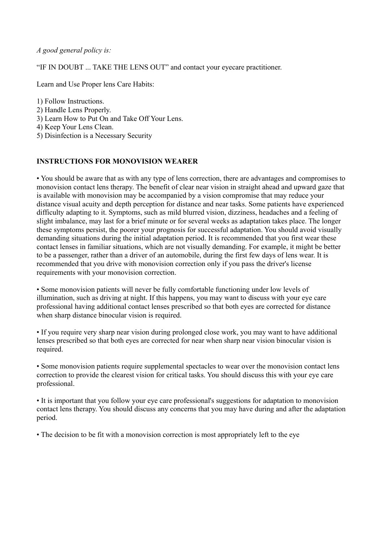*A good general policy is:* 

"IF IN DOUBT ... TAKE THE LENS OUT" and contact your eyecare practitioner.

Learn and Use Proper lens Care Habits:

1) Follow Instructions.

- 2) Handle Lens Properly.
- 3) Learn How to Put On and Take Off Your Lens.
- 4) Keep Your Lens Clean.
- 5) Disinfection is a Necessary Security

## **INSTRUCTIONS FOR MONOVISION WEARER**

• You should be aware that as with any type of lens correction, there are advantages and compromises to monovision contact lens therapy. The benefit of clear near vision in straight ahead and upward gaze that is available with monovision may be accompanied by a vision compromise that may reduce your distance visual acuity and depth perception for distance and near tasks. Some patients have experienced difficulty adapting to it. Symptoms, such as mild blurred vision, dizziness, headaches and a feeling of slight imbalance, may last for a brief minute or for several weeks as adaptation takes place. The longer these symptoms persist, the poorer your prognosis for successful adaptation. You should avoid visually demanding situations during the initial adaptation period. It is recommended that you first wear these contact lenses in familiar situations, which are not visually demanding. For example, it might be better to be a passenger, rather than a driver of an automobile, during the first few days of lens wear. It is recommended that you drive with monovision correction only if you pass the driver's license requirements with your monovision correction.

• Some monovision patients will never be fully comfortable functioning under low levels of illumination, such as driving at night. If this happens, you may want to discuss with your eye care professional having additional contact lenses prescribed so that both eyes are corrected for distance when sharp distance binocular vision is required.

• If you require very sharp near vision during prolonged close work, you may want to have additional lenses prescribed so that both eyes are corrected for near when sharp near vision binocular vision is required.

• Some monovision patients require supplemental spectacles to wear over the monovision contact lens correction to provide the clearest vision for critical tasks. You should discuss this with your eye care professional.

• It is important that you follow your eye care professional's suggestions for adaptation to monovision contact lens therapy. You should discuss any concerns that you may have during and after the adaptation period.

• The decision to be fit with a monovision correction is most appropriately left to the eye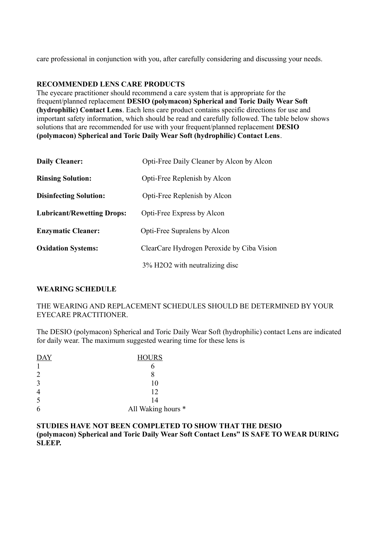care professional in conjunction with you, after carefully considering and discussing your needs.

## **RECOMMENDED LENS CARE PRODUCTS**

The eyecare practitioner should recommend a care system that is appropriate for the frequent/planned replacement **DESIO (polymacon) Spherical and Toric Daily Wear Soft (hydrophilic) Contact Lens**. Each lens care product contains specific directions for use and important safety information, which should be read and carefully followed. The table below shows solutions that are recommended for use with your frequent/planned replacement **DESIO (polymacon) Spherical and Toric Daily Wear Soft (hydrophilic) Contact Lens**.

| <b>Daily Cleaner:</b>             | Opti-Free Daily Cleaner by Alcon by Alcon               |
|-----------------------------------|---------------------------------------------------------|
| <b>Rinsing Solution:</b>          | Opti-Free Replenish by Alcon                            |
| <b>Disinfecting Solution:</b>     | Opti-Free Replenish by Alcon                            |
| <b>Lubricant/Rewetting Drops:</b> | Opti-Free Express by Alcon                              |
| <b>Enzymatic Cleaner:</b>         | Opti-Free Supralens by Alcon                            |
| <b>Oxidation Systems:</b>         | ClearCare Hydrogen Peroxide by Ciba Vision              |
|                                   | 3% H <sub>2</sub> O <sub>2</sub> with neutralizing disc |

### **WEARING SCHEDULE**

### THE WEARING AND REPLACEMENT SCHEDULES SHOULD BE DETERMINED BY YOUR EYECARE PRACTITIONER.

The DESIO (polymacon) Spherical and Toric Daily Wear Soft (hydrophilic) contact Lens are indicated for daily wear. The maximum suggested wearing time for these lens is

| <b>DAY</b> | <b>HOURS</b>       |
|------------|--------------------|
|            |                    |
| 2          |                    |
| 3          | 10                 |
| 4          | 12                 |
| 5          | 14                 |
| 6          | All Waking hours * |

## **STUDIES HAVE NOT BEEN COMPLETED TO SHOW THAT THE DESIO (polymacon) Spherical and Toric Daily Wear Soft Contact Lens" IS SAFE TO WEAR DURING SLEEP.**